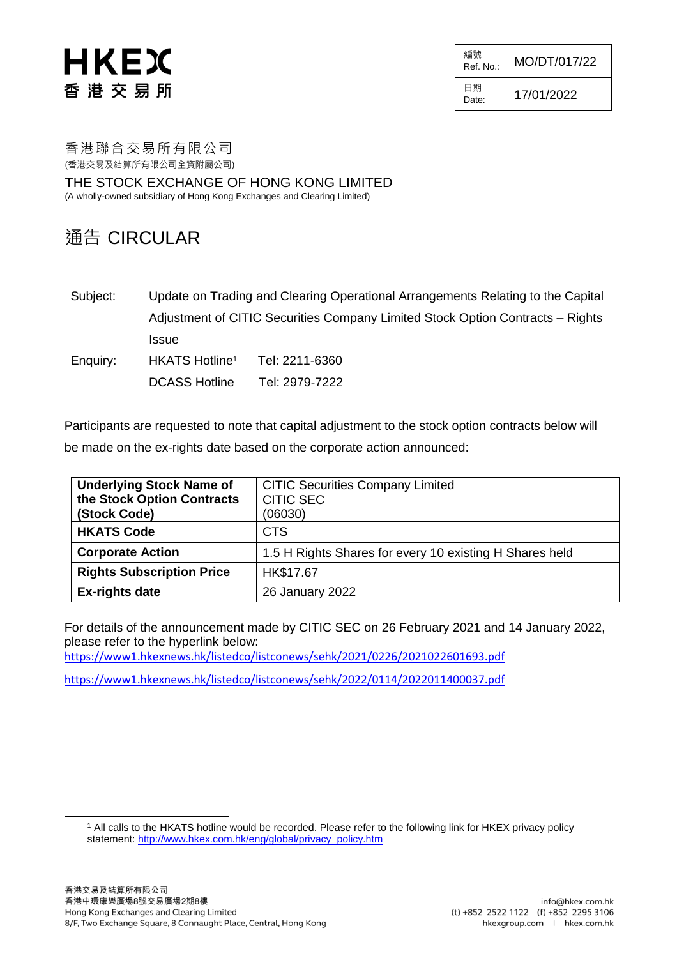# HKEX 香港交易所

 $R_{\text{ref. No.}:}$  MO/DT/017/22

日期  $D_{\text{date}:}$  17/01/2022

編號

香港聯合交易所有限公司 (香港交易及結算所有限公司全資附屬公司)

THE STOCK EXCHANGE OF HONG KONG LIMITED (A wholly-owned subsidiary of Hong Kong Exchanges and Clearing Limited)

# 通告 CIRCULAR

Subject: Update on Trading and Clearing Operational Arrangements Relating to the Capital Adjustment of CITIC Securities Company Limited Stock Option Contracts – Rights **Issue** Enquiry: HKATS Hotline<sup>1</sup> Tel: 2211-6360 DCASS Hotline Tel: 2979-7222

Participants are requested to note that capital adjustment to the stock option contracts below will be made on the ex-rights date based on the corporate action announced:

| <b>Underlying Stock Name of</b><br>the Stock Option Contracts<br>(Stock Code) | <b>CITIC Securities Company Limited</b><br><b>CITIC SEC</b><br>(06030) |
|-------------------------------------------------------------------------------|------------------------------------------------------------------------|
| <b>HKATS Code</b>                                                             | <b>CTS</b>                                                             |
| <b>Corporate Action</b>                                                       | 1.5 H Rights Shares for every 10 existing H Shares held                |
| <b>Rights Subscription Price</b>                                              | HK\$17.67                                                              |
| <b>Ex-rights date</b>                                                         | 26 January 2022                                                        |

For details of the announcement made by CITIC SEC on 26 February 2021 and 14 January 2022, please refer to the hyperlink below:

<https://www1.hkexnews.hk/listedco/listconews/sehk/2021/0226/2021022601693.pdf>

<https://www1.hkexnews.hk/listedco/listconews/sehk/2022/0114/2022011400037.pdf>

l

<sup>1</sup> All calls to the HKATS hotline would be recorded. Please refer to the following link for HKEX privacy policy statement: [http://www.hkex.com.hk/eng/global/privacy\\_policy.htm](http://www.hkex.com.hk/eng/global/privacy_policy.htm)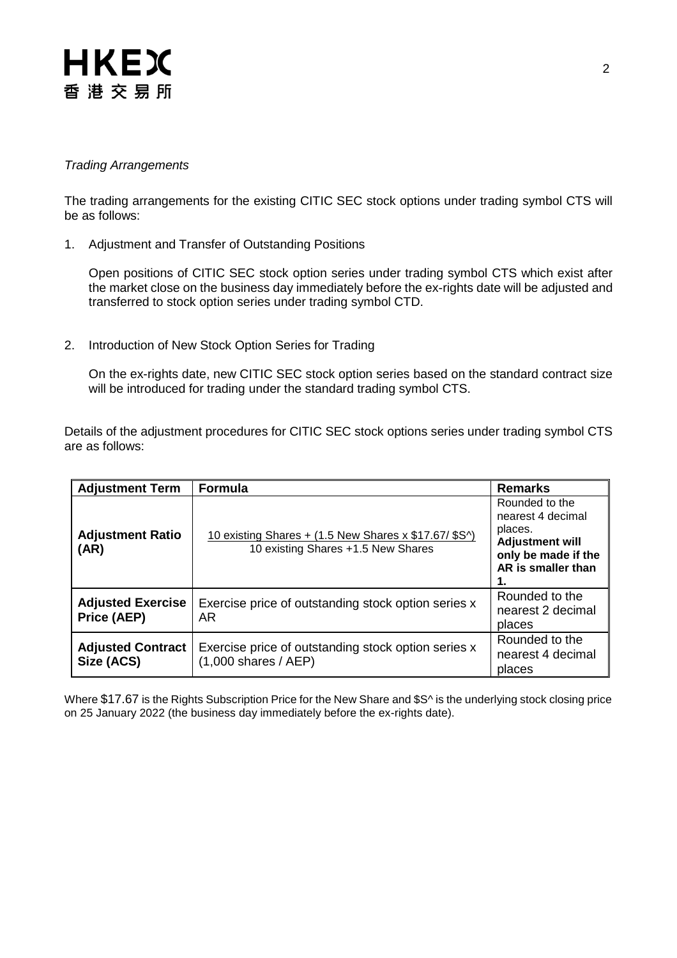# **HKEX** 香港交易所

## *Trading Arrangements*

The trading arrangements for the existing CITIC SEC stock options under trading symbol CTS will be as follows:

1. Adjustment and Transfer of Outstanding Positions

Open positions of CITIC SEC stock option series under trading symbol CTS which exist after the market close on the business day immediately before the ex-rights date will be adjusted and transferred to stock option series under trading symbol CTD.

2. Introduction of New Stock Option Series for Trading

On the ex-rights date, new CITIC SEC stock option series based on the standard contract size will be introduced for trading under the standard trading symbol CTS.

Details of the adjustment procedures for CITIC SEC stock options series under trading symbol CTS are as follows:

| <b>Adjustment Term</b>                  | <b>Formula</b>                                                                              | <b>Remarks</b>                                                                                                        |
|-----------------------------------------|---------------------------------------------------------------------------------------------|-----------------------------------------------------------------------------------------------------------------------|
| <b>Adjustment Ratio</b><br>(AR)         | 10 existing Shares + (1.5 New Shares x \$17.67/ \$S^)<br>10 existing Shares +1.5 New Shares | Rounded to the<br>nearest 4 decimal<br>places.<br><b>Adjustment will</b><br>only be made if the<br>AR is smaller than |
| <b>Adjusted Exercise</b><br>Price (AEP) | Exercise price of outstanding stock option series x<br>AR.                                  | Rounded to the<br>nearest 2 decimal<br>places                                                                         |
| <b>Adjusted Contract</b><br>Size (ACS)  | Exercise price of outstanding stock option series x<br>$(1,000$ shares / AEP)               | Rounded to the<br>nearest 4 decimal<br>places                                                                         |

Where \$17.67 is the Rights Subscription Price for the New Share and \$S^ is the underlying stock closing price on 25 January 2022 (the business day immediately before the ex-rights date).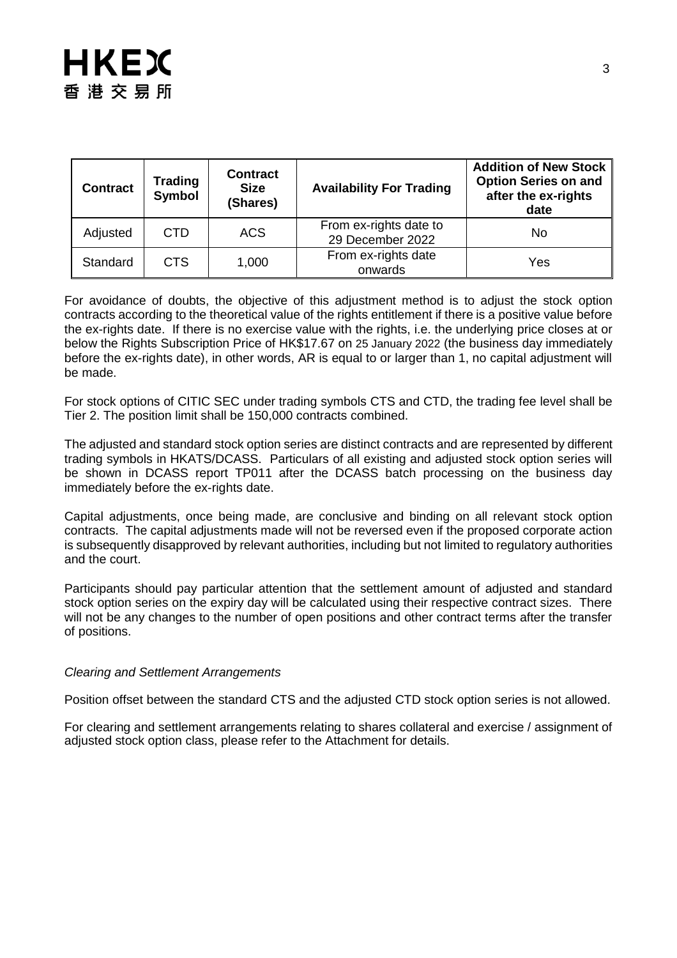| <b>Contract</b> | <b>Trading</b><br><b>Symbol</b> | <b>Contract</b><br><b>Size</b><br>(Shares) | <b>Availability For Trading</b>            | <b>Addition of New Stock</b><br><b>Option Series on and</b><br>after the ex-rights<br>date |
|-----------------|---------------------------------|--------------------------------------------|--------------------------------------------|--------------------------------------------------------------------------------------------|
| Adjusted        | <b>CTD</b>                      | ACS                                        | From ex-rights date to<br>29 December 2022 | No                                                                                         |
| Standard        | <b>CTS</b>                      | 1,000                                      | From ex-rights date<br>onwards             | Yes                                                                                        |

For avoidance of doubts, the objective of this adjustment method is to adjust the stock option contracts according to the theoretical value of the rights entitlement if there is a positive value before the ex-rights date. If there is no exercise value with the rights, i.e. the underlying price closes at or below the Rights Subscription Price of HK\$17.67 on 25 January 2022 (the business day immediately before the ex-rights date), in other words, AR is equal to or larger than 1, no capital adjustment will be made.

For stock options of CITIC SEC under trading symbols CTS and CTD, the trading fee level shall be Tier 2. The position limit shall be 150,000 contracts combined.

The adjusted and standard stock option series are distinct contracts and are represented by different trading symbols in HKATS/DCASS. Particulars of all existing and adjusted stock option series will be shown in DCASS report TP011 after the DCASS batch processing on the business day immediately before the ex-rights date.

Capital adjustments, once being made, are conclusive and binding on all relevant stock option contracts. The capital adjustments made will not be reversed even if the proposed corporate action is subsequently disapproved by relevant authorities, including but not limited to regulatory authorities and the court.

Participants should pay particular attention that the settlement amount of adjusted and standard stock option series on the expiry day will be calculated using their respective contract sizes. There will not be any changes to the number of open positions and other contract terms after the transfer of positions.

### *Clearing and Settlement Arrangements*

Position offset between the standard CTS and the adjusted CTD stock option series is not allowed.

For clearing and settlement arrangements relating to shares collateral and exercise / assignment of adjusted stock option class, please refer to the Attachment for details.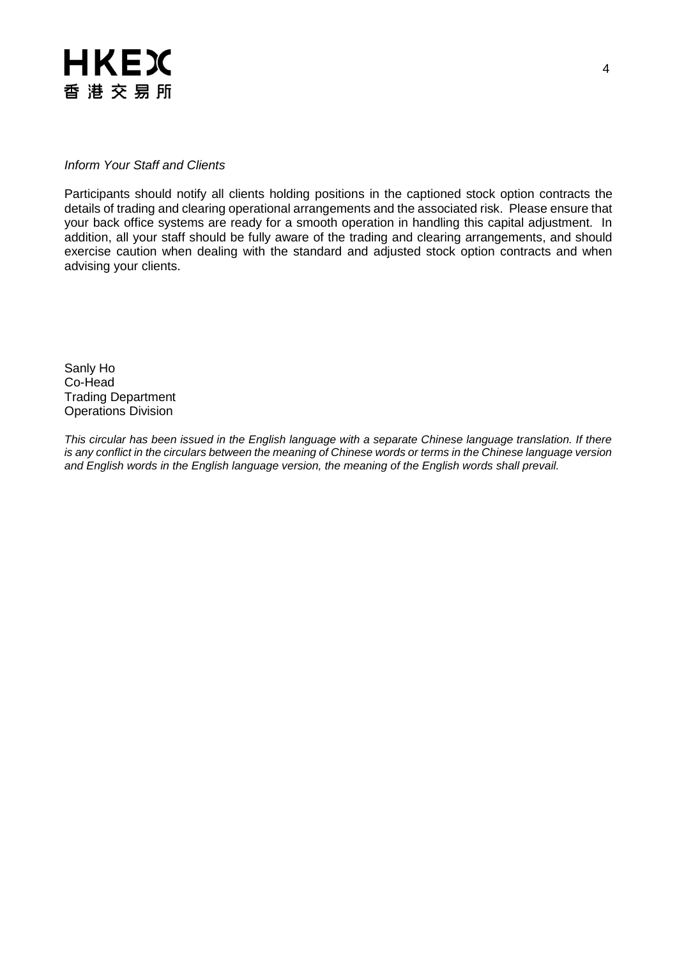

#### *Inform Your Staff and Clients*

Participants should notify all clients holding positions in the captioned stock option contracts the details of trading and clearing operational arrangements and the associated risk. Please ensure that your back office systems are ready for a smooth operation in handling this capital adjustment. In addition, all your staff should be fully aware of the trading and clearing arrangements, and should exercise caution when dealing with the standard and adjusted stock option contracts and when advising your clients.

Sanly Ho Co-Head Trading Department Operations Division

*This circular has been issued in the English language with a separate Chinese language translation. If there is any conflict in the circulars between the meaning of Chinese words or terms in the Chinese language version and English words in the English language version, the meaning of the English words shall prevail.*